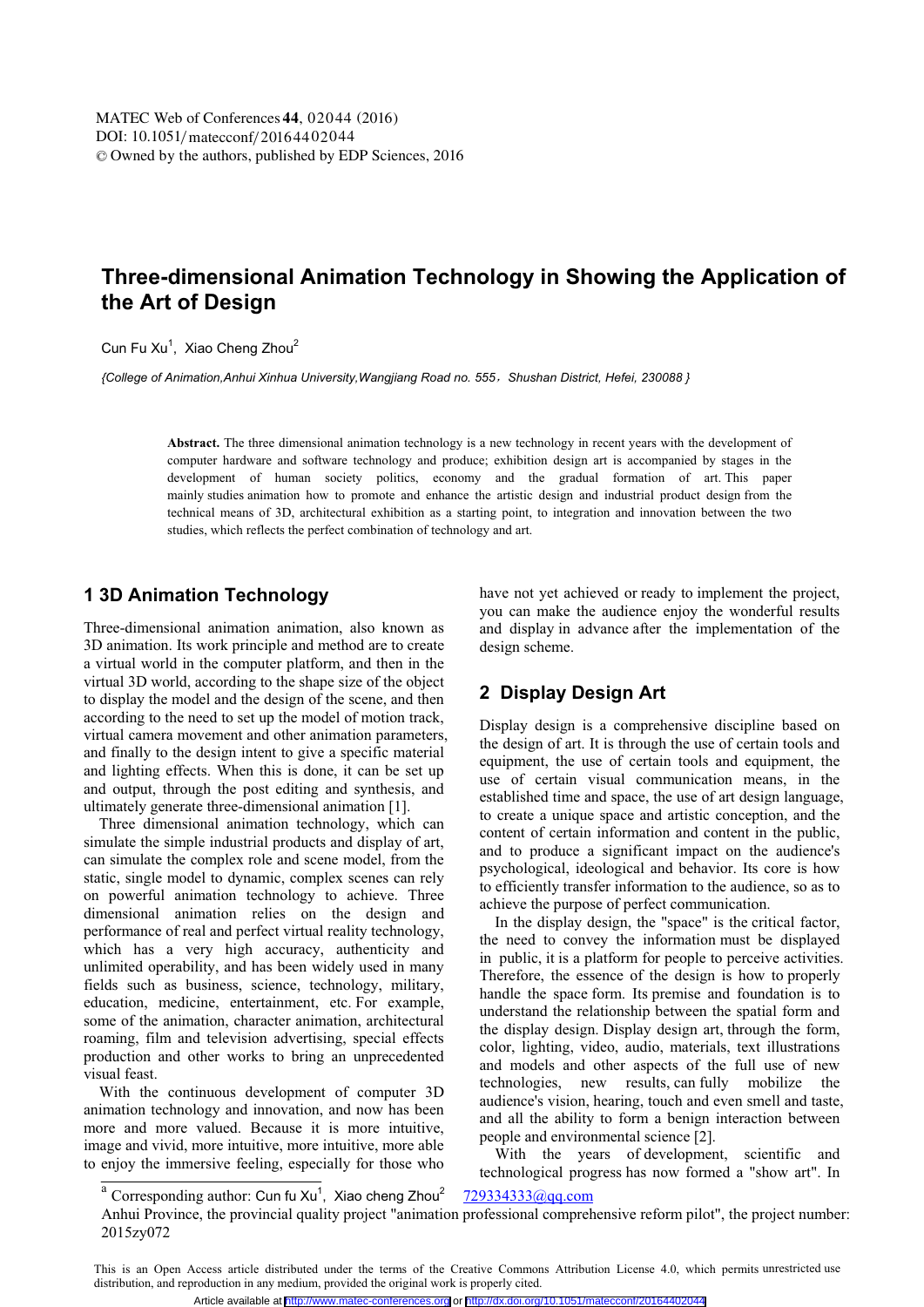# **Three-dimensional Animation Technology in Showing the Application of the Art of Design**

Cun Fu Xu, Xiao Cheng Zhou

*{College of Animation,Anhui Xinhua University,Wangjiang Road no. 555*ˈ*Shushan District, Hefei, 230088 }* 

**Abstract.** The three dimensional animation technology is a new technology in recent years with the development of computer hardware and software technology and produce; exhibition design art is accompanied by stages in the development of human society politics, economy and the gradual formation of art. This paper mainly studies animation how to promote and enhance the artistic design and industrial product design from the technical means of 3D, architectural exhibition as a starting point, to integration and innovation between the two studies, which reflects the perfect combination of technology and art.

#### **1 3D Animation Technology**

Three-dimensional animation animation, also known as 3D animation. Its work principle and method are to create a virtual world in the computer platform, and then in the virtual 3D world, according to the shape size of the object to display the model and the design of the scene, and then according to the need to set up the model of motion track, virtual camera movement and other animation parameters, and finally to the design intent to give a specific material and lighting effects. When this is done, it can be set up and output, through the post editing and synthesis, and ultimately generate three-dimensional animation [1].

 Three dimensional animation technology, which can simulate the simple industrial products and display of art, can simulate the complex role and scene model, from the static, single model to dynamic, complex scenes can rely on powerful animation technology to achieve. Three dimensional animation relies on the design and performance of real and perfect virtual reality technology, which has a very high accuracy, authenticity and unlimited operability, and has been widely used in many fields such as business, science, technology, military, education, medicine, entertainment, etc. For example, some of the animation, character animation, architectural roaming, film and television advertising, special effects production and other works to bring an unprecedented visual feast.

 With the continuous development of computer 3D animation technology and innovation, and now has been more and more valued. Because it is more intuitive, image and vivid, more intuitive, more intuitive, more able to enjoy the immersive feeling, especially for those who have not yet achieved or ready to implement the project, you can make the audience enjoy the wonderful results and display in advance after the implementation of the design scheme.

### **2 Display Design Art**

Display design is a comprehensive discipline based on the design of art. It is through the use of certain tools and equipment, the use of certain tools and equipment, the use of certain visual communication means, in the established time and space, the use of art design language, to create a unique space and artistic conception, and the content of certain information and content in the public, and to produce a significant impact on the audience's psychological, ideological and behavior. Its core is how to efficiently transfer information to the audience, so as to achieve the purpose of perfect communication.

 In the display design, the "space" is the critical factor, the need to convey the information must be displayed in public, it is a platform for people to perceive activities. Therefore, the essence of the design is how to properly handle the space form. Its premise and foundation is to understand the relationship between the spatial form and the display design. Display design art, through the form, color, lighting, video, audio, materials, text illustrations and models and other aspects of the full use of new technologies, new results, can fully mobilize the audience's vision, hearing, touch and even smell and taste, and all the ability to form a benign interaction between people and environmental science [2].

 With the years of development, scientific and technological progress has now formed a "show art". In

 $a^{a}$  Corresponding author: Cun fu Xu<sup>1</sup>, Xiao cheng Zhou<sup>2</sup>

<sup>&</sup>lt;sup>a</sup> Corresponding author: Cun fu Xu<sup>1</sup>, Xiao cheng Zhou<sup>2</sup> 729334333@qq.com<br>Anhui Province, the provincial quality project "animation professional comprehensive reform pilot", the project number: 2015zy072

This is an Open Access article distributed under the terms of the Creative Commons Attribution License 4.0, which permits unrestricted use distribution, and reproduction in any medium, provided the original work is properly cited.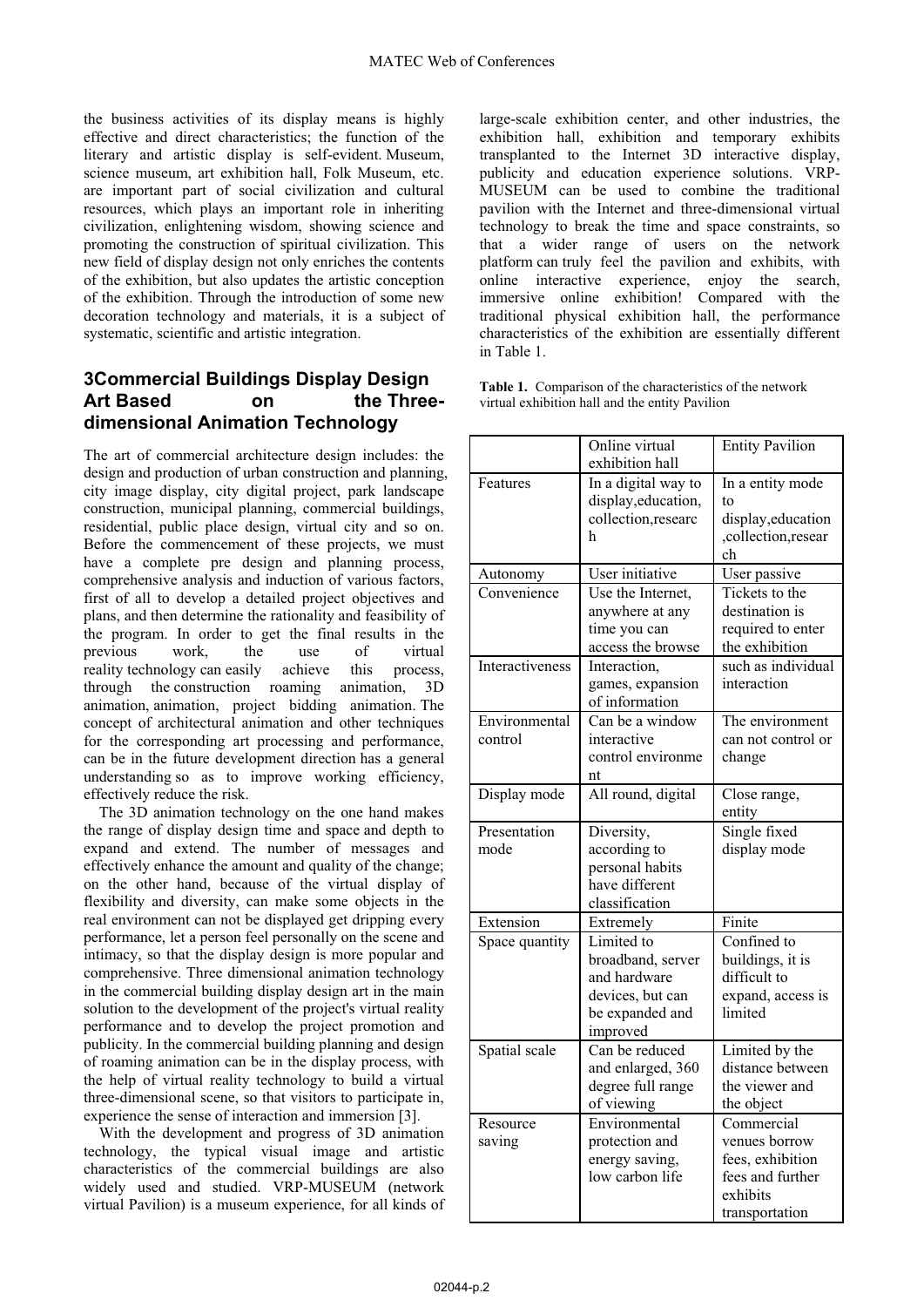the business activities of its display means is highly effective and direct characteristics; the function of the literary and artistic display is self-evident. Museum, science museum, art exhibition hall, Folk Museum, etc. are important part of social civilization and cultural resources, which plays an important role in inheriting civilization, enlightening wisdom, showing science and promoting the construction of spiritual civilization. This new field of display design not only enriches the contents of the exhibition, but also updates the artistic conception of the exhibition. Through the introduction of some new decoration technology and materials, it is a subject of systematic, scientific and artistic integration.

## **3Commercial Buildings Display Design** Art Based on the Three**dimensional Animation Technology**

The art of commercial architecture design includes: the design and production of urban construction and planning, city image display, city digital project, park landscape construction, municipal planning, commercial buildings, residential, public place design, virtual city and so on. Before the commencement of these projects, we must have a complete pre design and planning process, comprehensive analysis and induction of various factors, first of all to develop a detailed project objectives and plans, and then determine the rationality and feasibility of the program. In order to get the final results in the previous work, the use of virtual reality technology can easily achieve this process, through the construction roaming animation, 3D animation, animation, project bidding animation. The concept of architectural animation and other techniques for the corresponding art processing and performance, can be in the future development direction has a general understanding so as to improve working efficiency, effectively reduce the risk.

 The 3D animation technology on the one hand makes the range of display design time and space and depth to expand and extend. The number of messages and effectively enhance the amount and quality of the change; on the other hand, because of the virtual display of flexibility and diversity, can make some objects in the real environment can not be displayed get dripping every performance, let a person feel personally on the scene and intimacy, so that the display design is more popular and comprehensive. Three dimensional animation technology in the commercial building display design art in the main solution to the development of the project's virtual reality performance and to develop the project promotion and publicity. In the commercial building planning and design of roaming animation can be in the display process, with the help of virtual reality technology to build a virtual three-dimensional scene, so that visitors to participate in, experience the sense of interaction and immersion [3].

 With the development and progress of 3D animation technology, the typical visual image and artistic characteristics of the commercial buildings are also widely used and studied. VRP-MUSEUM (network virtual Pavilion) is a museum experience, for all kinds of

large-scale exhibition center, and other industries, the exhibition hall, exhibition and temporary exhibits transplanted to the Internet 3D interactive display, publicity and education experience solutions. VRP-MUSEUM can be used to combine the traditional pavilion with the Internet and three-dimensional virtual technology to break the time and space constraints, so that a wider range of users on the network platform can truly feel the pavilion and exhibits, with online interactive experience, enjoy the search, immersive online exhibition! Compared with the traditional physical exhibition hall, the performance characteristics of the exhibition are essentially different in Table 1.

Table 1. Comparison of the characteristics of the network virtual exhibition hall and the entity Pavilion

|                          | Online virtual<br>exhibition hall                                                                  | <b>Entity Pavilion</b>                                                                            |
|--------------------------|----------------------------------------------------------------------------------------------------|---------------------------------------------------------------------------------------------------|
| Features                 | In a digital way to<br>display, education,<br>collection, researc<br>h                             | In a entity mode<br>to<br>display, education<br>,collection,resear<br>ch                          |
| Autonomy                 | User initiative                                                                                    | User passive                                                                                      |
| Convenience              | Use the Internet,<br>anywhere at any<br>time you can<br>access the browse                          | Tickets to the<br>destination is<br>required to enter<br>the exhibition                           |
| Interactiveness          | Interaction,<br>games, expansion<br>of information                                                 | such as individual<br>interaction                                                                 |
| Environmental<br>control | Can be a window<br>interactive<br>control environme<br>nt                                          | The environment<br>can not control or<br>change                                                   |
| Display mode             | All round, digital                                                                                 | Close range,<br>entity                                                                            |
| Presentation<br>mode     | Diversity,<br>according to<br>personal habits<br>have different<br>classification                  | Single fixed<br>display mode                                                                      |
| Extension                | Extremely                                                                                          | Finite                                                                                            |
| Space quantity           | Limited to<br>broadband, server<br>and hardware<br>devices, but can<br>be expanded and<br>improved | Confined to<br>buildings, it is<br>difficult to<br>expand, access is<br>limited                   |
| Spatial scale            | Can be reduced<br>and enlarged, 360<br>degree full range<br>of viewing                             | Limited by the<br>distance between<br>the viewer and<br>the object                                |
| Resource<br>saving       | Environmental<br>protection and<br>energy saving,<br>low carbon life                               | Commercial<br>venues borrow<br>fees, exhibition<br>fees and further<br>exhibits<br>transportation |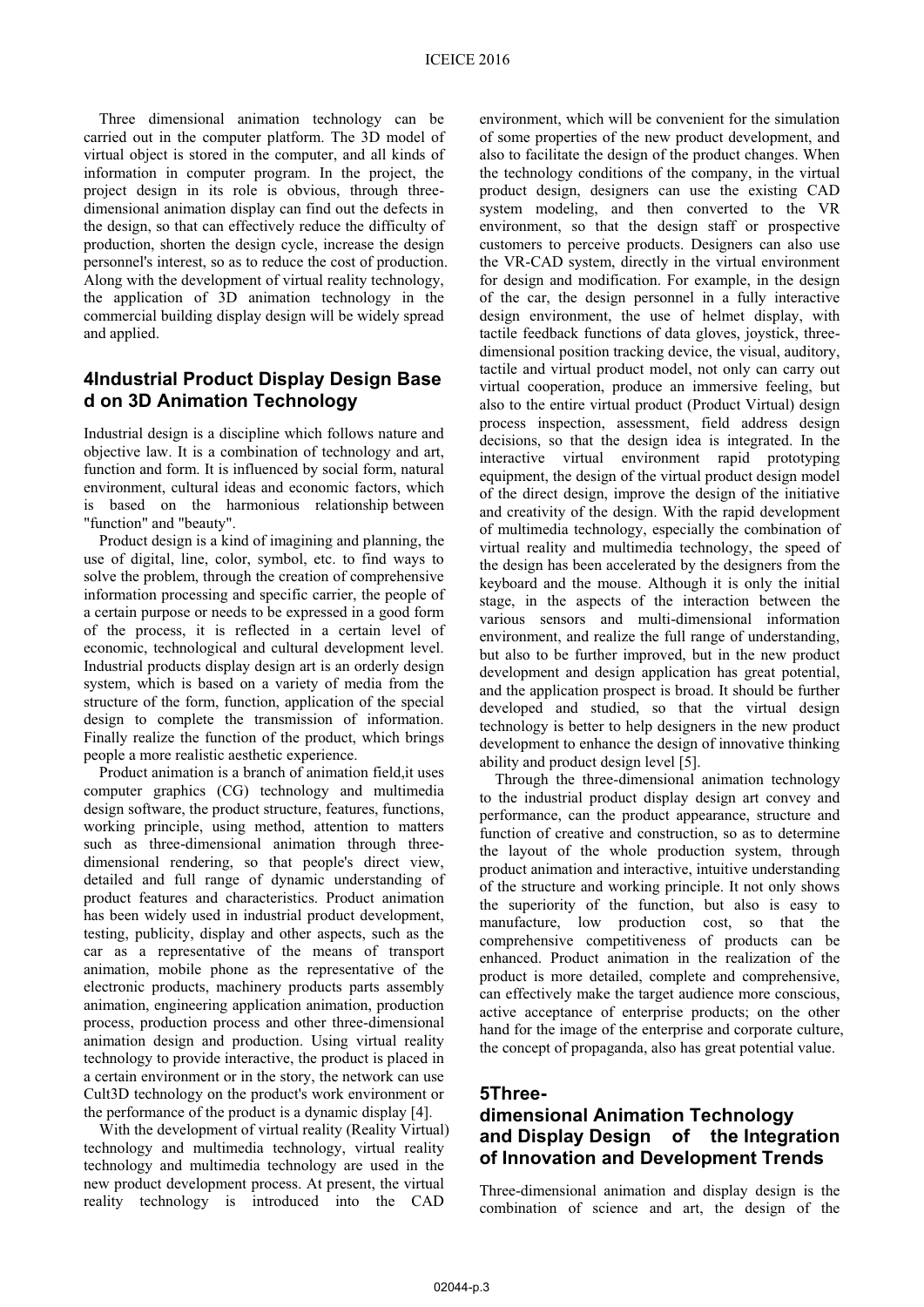Three dimensional animation technology can be carried out in the computer platform. The 3D model of virtual object is stored in the computer, and all kinds of information in computer program. In the project, the project design in its role is obvious, through threedimensional animation display can find out the defects in the design, so that can effectively reduce the difficulty of production, shorten the design cycle, increase the design personnel's interest, so as to reduce the cost of production. Along with the development of virtual reality technology, the application of 3D animation technology in the commercial building display design will be widely spread and applied.

#### **4Industrial Product Display Design Base d on 3D Animation Technology**

Industrial design is a discipline which follows nature and objective law. It is a combination of technology and art, function and form. It is influenced by social form, natural environment, cultural ideas and economic factors, which is based on the harmonious relationship between "function" and "beauty".

 Product design is a kind of imagining and planning, the use of digital, line, color, symbol, etc. to find ways to solve the problem, through the creation of comprehensive information processing and specific carrier, the people of a certain purpose or needs to be expressed in a good form of the process, it is reflected in a certain level of economic, technological and cultural development level. Industrial products display design art is an orderly design system, which is based on a variety of media from the structure of the form, function, application of the special design to complete the transmission of information. Finally realize the function of the product, which brings people a more realistic aesthetic experience.

 Product animation is a branch of animation field,it uses computer graphics (CG) technology and multimedia design software, the product structure, features, functions, working principle, using method, attention to matters such as three-dimensional animation through threedimensional rendering, so that people's direct view, detailed and full range of dynamic understanding of product features and characteristics. Product animation has been widely used in industrial product development, testing, publicity, display and other aspects, such as the car as a representative of the means of transport animation, mobile phone as the representative of the electronic products, machinery products parts assembly animation, engineering application animation, production process, production process and other three-dimensional animation design and production. Using virtual reality technology to provide interactive, the product is placed in a certain environment or in the story, the network can use Cult3D technology on the product's work environment or the performance of the product is a dynamic display [4].

 With the development of virtual reality (Reality Virtual) technology and multimedia technology, virtual reality technology and multimedia technology are used in the new product development process. At present, the virtual reality technology is introduced into the CAD

environment, which will be convenient for the simulation of some properties of the new product development, and also to facilitate the design of the product changes. When the technology conditions of the company, in the virtual product design, designers can use the existing CAD system modeling, and then converted to the VR environment, so that the design staff or prospective customers to perceive products. Designers can also use the VR-CAD system, directly in the virtual environment for design and modification. For example, in the design of the car, the design personnel in a fully interactive design environment, the use of helmet display, with tactile feedback functions of data gloves, joystick, threedimensional position tracking device, the visual, auditory, tactile and virtual product model, not only can carry out virtual cooperation, produce an immersive feeling, but also to the entire virtual product (Product Virtual) design process inspection, assessment, field address design decisions, so that the design idea is integrated. In the interactive virtual environment rapid prototyping equipment, the design of the virtual product design model of the direct design, improve the design of the initiative and creativity of the design. With the rapid development of multimedia technology, especially the combination of virtual reality and multimedia technology, the speed of the design has been accelerated by the designers from the keyboard and the mouse. Although it is only the initial stage, in the aspects of the interaction between the various sensors and multi-dimensional information environment, and realize the full range of understanding, but also to be further improved, but in the new product development and design application has great potential, and the application prospect is broad. It should be further developed and studied, so that the virtual design technology is better to help designers in the new product development to enhance the design of innovative thinking ability and product design level [5].

 Through the three-dimensional animation technology to the industrial product display design art convey and performance, can the product appearance, structure and function of creative and construction, so as to determine the layout of the whole production system, through product animation and interactive, intuitive understanding of the structure and working principle. It not only shows the superiority of the function, but also is easy to manufacture, low production cost, so that the comprehensive competitiveness of products can be enhanced. Product animation in the realization of the product is more detailed, complete and comprehensive, can effectively make the target audience more conscious, active acceptance of enterprise products; on the other hand for the image of the enterprise and corporate culture, the concept of propaganda, also has great potential value.

#### **5Three-**

## **dimensional Animation Technology and Display Design of the Integration of Innovation and Development Trends**

Three-dimensional animation and display design is the combination of science and art, the design of the